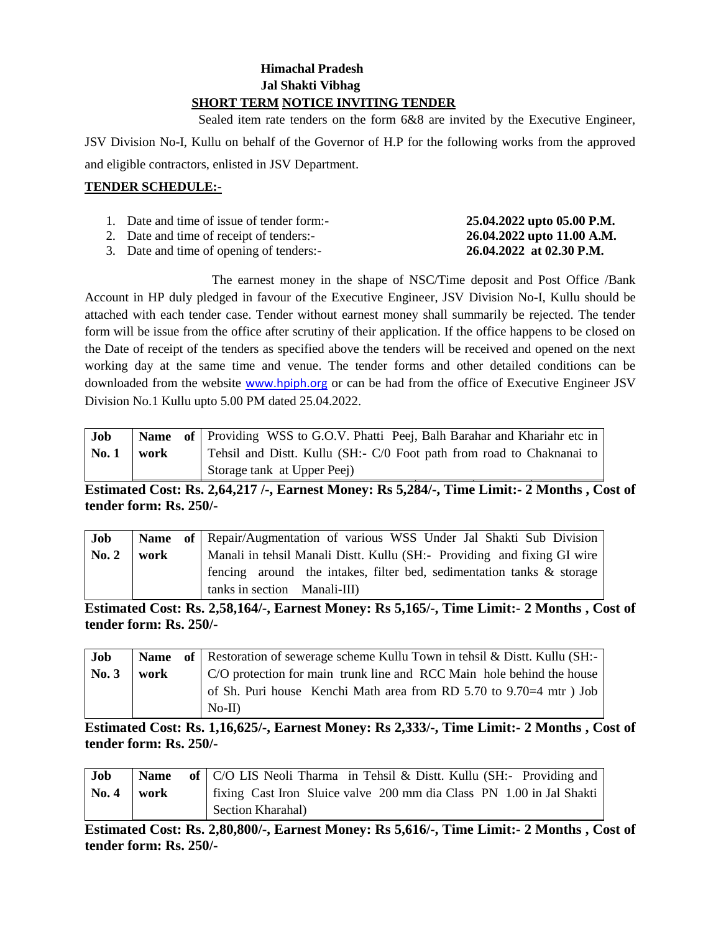# **Himachal Pradesh Jal Shakti Vibhag SHORT TERM NOTICE INVITING TENDER**

 Sealed item rate tenders on the form 6&8 are invited by the Executive Engineer, JSV Division No-I, Kullu on behalf of the Governor of H.P for the following works from the approved and eligible contractors, enlisted in JSV Department.

# **TENDER SCHEDULE:-**

| 1. Date and time of issue of tender form:- | 25.04.2022 upto 05.00 P.M. |
|--------------------------------------------|----------------------------|
| 2. Date and time of receipt of tenders:-   | 26.04.2022 upto 11.00 A.M. |

3. Date and time of opening of tenders:- **26.04.2022 at 02.30 P.M.**

The earnest money in the shape of NSC/Time deposit and Post Office /Bank Account in HP duly pledged in favour of the Executive Engineer, JSV Division No-I, Kullu should be attached with each tender case. Tender without earnest money shall summarily be rejected. The tender form will be issue from the office after scrutiny of their application. If the office happens to be closed on the Date of receipt of the tenders as specified above the tenders will be received and opened on the next working day at the same time and venue. The tender forms and other detailed conditions can be downloaded from the website [www.hpiph.org](http://www.hpiph.org/) or can be had from the office of Executive Engineer JSV Division No.1 Kullu upto 5.00 PM dated 25.04.2022.

| Job   |      | <b>Name</b> of Providing WSS to G.O.V. Phatti Peej, Balh Barahar and Khariahr etc in |
|-------|------|--------------------------------------------------------------------------------------|
| No. 1 | work | Tehsil and Distt. Kullu (SH:- C/0 Foot path from road to Chaknanai to                |
|       |      | Storage tank at Upper Peej)                                                          |

**Estimated Cost: Rs. 2,64,217 /-, Earnest Money: Rs 5,284/-, Time Limit:- 2 Months , Cost of tender form: Rs. 250/-**

| Job         |      | Name of Repair/Augmentation of various WSS Under Jal Shakti Sub Division |
|-------------|------|--------------------------------------------------------------------------|
| $\bf{No.}2$ | work | Manali in tehsil Manali Distt. Kullu (SH:- Providing and fixing GI wire  |
|             |      | fencing around the intakes, filter bed, sedimentation tanks & storage    |
|             |      | tanks in section Manali-III)                                             |

**Estimated Cost: Rs. 2,58,164/-, Earnest Money: Rs 5,165/-, Time Limit:- 2 Months , Cost of tender form: Rs. 250/-**

| Job   |      | <b>Name</b> of Restoration of sewerage scheme Kullu Town in tehsil & Distt. Kullu (SH:- |
|-------|------|-----------------------------------------------------------------------------------------|
| No. 3 | work | C/O protection for main trunk line and RCC Main hole behind the house                   |
|       |      | of Sh. Puri house Kenchi Math area from RD 5.70 to 9.70 = 4 mtr) Job                    |
|       |      | $No-II$                                                                                 |

**Estimated Cost: Rs. 1,16,625/-, Earnest Money: Rs 2,333/-, Time Limit:- 2 Months , Cost of tender form: Rs. 250/-**

| Job                        | <b>Name</b> | of $\vert$ C/O LIS Neoli Tharma in Tehsil & Distt. Kullu (SH:- Providing and |
|----------------------------|-------------|------------------------------------------------------------------------------|
| $\vert$ No. 4 $\vert$ work |             | fixing Cast Iron Sluice valve 200 mm dia Class PN 1.00 in Jal Shakti         |
|                            |             | Section Kharahal)                                                            |

**Estimated Cost: Rs. 2,80,800/-, Earnest Money: Rs 5,616/-, Time Limit:- 2 Months , Cost of tender form: Rs. 250/-**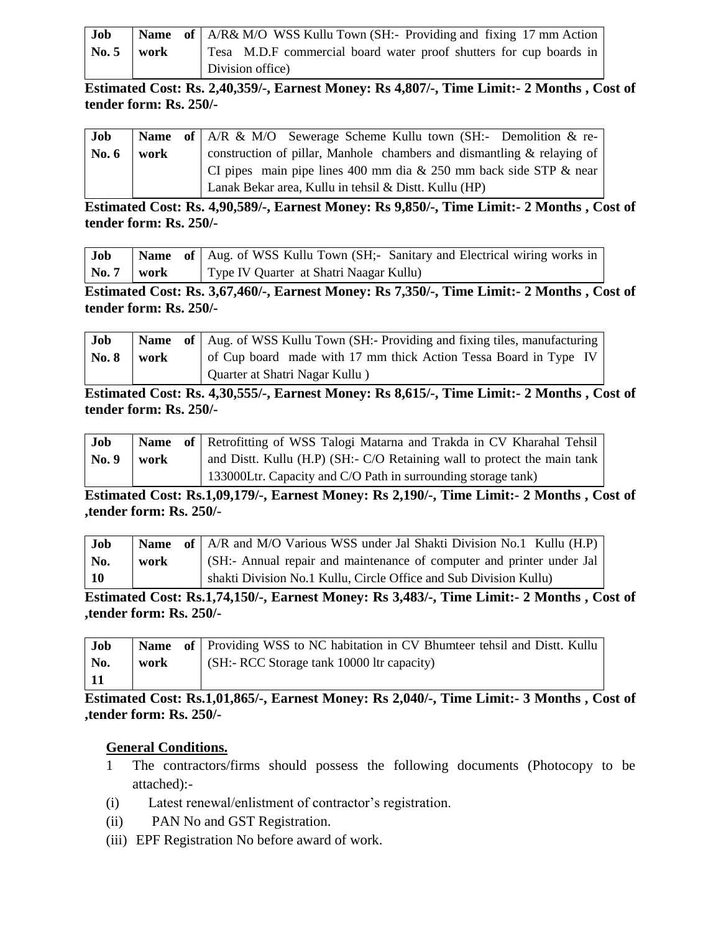| Job             |      | <b>Name of</b> A/R& M/O WSS Kullu Town (SH:- Providing and fixing 17 mm Action |
|-----------------|------|--------------------------------------------------------------------------------|
| $\mathbf{No.}5$ | work | Tesa M.D.F commercial board water proof shutters for cup boards in             |
|                 |      | Division office)                                                               |

**Estimated Cost: Rs. 2,40,359/-, Earnest Money: Rs 4,807/-, Time Limit:- 2 Months , Cost of tender form: Rs. 250/-**

| Job     |      | <b>Name</b> of $AR \& M/O$ Sewerage Scheme Kullu town (SH:- Demolition $\&$ re- |
|---------|------|---------------------------------------------------------------------------------|
| No. $6$ | work | construction of pillar, Manhole chambers and dismantling $\&$ relaying of       |
|         |      | CI pipes main pipe lines 400 mm dia & 250 mm back side STP & near               |
|         |      | Lanak Bekar area, Kullu in tehsil & Distt. Kullu (HP)                           |

**Estimated Cost: Rs. 4,90,589/-, Earnest Money: Rs 9,850/-, Time Limit:- 2 Months , Cost of tender form: Rs. 250/-**

| Job                 |  | <b>Name</b> of Aug. of WSS Kullu Town (SH;- Sanitary and Electrical wiring works in |
|---------------------|--|-------------------------------------------------------------------------------------|
| $\sqrt{N_0.7}$ work |  | Type IV Quarter at Shatri Naagar Kullu)                                             |

**Estimated Cost: Rs. 3,67,460/-, Earnest Money: Rs 7,350/-, Time Limit:- 2 Months , Cost of tender form: Rs. 250/-**

| <b>Job</b>   |      | <b>Name</b> of $\vert$ Aug. of WSS Kullu Town (SH:- Providing and fixing tiles, manufacturing |
|--------------|------|-----------------------------------------------------------------------------------------------|
| <b>No. 8</b> | work | of Cup board made with 17 mm thick Action Tessa Board in Type IV                              |
|              |      | Quarter at Shatri Nagar Kullu)                                                                |

**Estimated Cost: Rs. 4,30,555/-, Earnest Money: Rs 8,615/-, Time Limit:- 2 Months , Cost of tender form: Rs. 250/-**

| Job   |      | <b>Name</b> of Retrofitting of WSS Talogi Matarna and Trakda in CV Kharahal Tehsil |
|-------|------|------------------------------------------------------------------------------------|
| No. 9 | work | and Distt. Kullu (H.P) (SH:- C/O Retaining wall to protect the main tank           |
|       |      | 133000Ltr. Capacity and C/O Path in surrounding storage tank)                      |

**Estimated Cost: Rs.1,09,179/-, Earnest Money: Rs 2,190/-, Time Limit:- 2 Months , Cost of ,tender form: Rs. 250/-**

| Job             |      | <b>Name</b> of $\mid$ A/R and M/O Various WSS under Jal Shakti Division No.1 Kullu (H.P) |
|-----------------|------|------------------------------------------------------------------------------------------|
| No.             | work | (SH:- Annual repair and maintenance of computer and printer under Jal                    |
| $\overline{10}$ |      | shakti Division No.1 Kullu, Circle Office and Sub Division Kullu)                        |

**Estimated Cost: Rs.1,74,150/-, Earnest Money: Rs 3,483/-, Time Limit:- 2 Months , Cost of ,tender form: Rs. 250/-**

| Job |      | Name of Providing WSS to NC habitation in CV Bhumteer tehsil and Distt. Kullu |
|-----|------|-------------------------------------------------------------------------------|
| No. | work | $(SH: RCC$ Storage tank 10000 ltr capacity)                                   |
|     |      |                                                                               |

**Estimated Cost: Rs.1,01,865/-, Earnest Money: Rs 2,040/-, Time Limit:- 3 Months , Cost of ,tender form: Rs. 250/-**

# **General Conditions.**

- 1 The contractors/firms should possess the following documents (Photocopy to be attached):-
- (i) Latest renewal/enlistment of contractor's registration.
- (ii) PAN No and GST Registration.
- (iii) EPF Registration No before award of work.